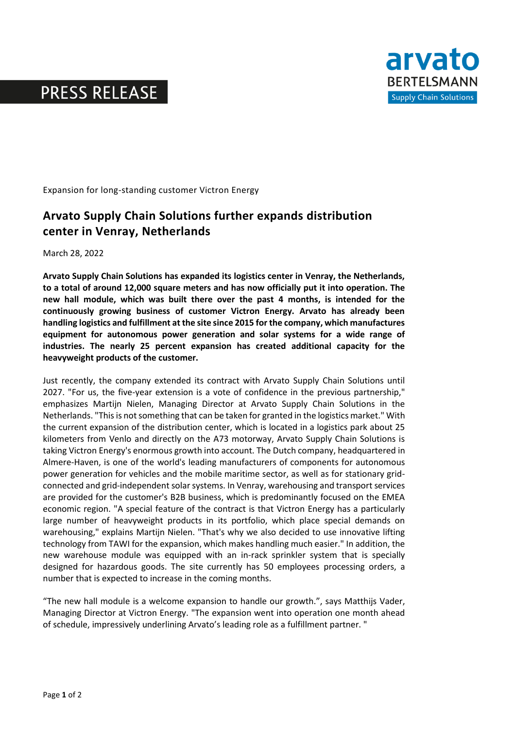# **PRESS RELEASE**



Expansion for long-standing customer Victron Energy

### **Arvato Supply Chain Solutions further expands distribution center in Venray, Netherlands**

March 28, 2022

**Arvato Supply Chain Solutions has expanded its logistics center in Venray, the Netherlands, to a total of around 12,000 square meters and has now officially put it into operation. The new hall module, which was built there over the past 4 months, is intended for the continuously growing business of customer Victron Energy. Arvato has already been handling logistics and fulfillment at the site since 2015 for the company, which manufactures equipment for autonomous power generation and solar systems for a wide range of industries. The nearly 25 percent expansion has created additional capacity for the heavyweight products of the customer.** 

Just recently, the company extended its contract with Arvato Supply Chain Solutions until 2027. "For us, the five-year extension is a vote of confidence in the previous partnership," emphasizes Martijn Nielen, Managing Director at Arvato Supply Chain Solutions in the Netherlands. "This is not something that can be taken for granted in the logistics market." With the current expansion of the distribution center, which is located in a logistics park about 25 kilometers from Venlo and directly on the A73 motorway, Arvato Supply Chain Solutions is taking Victron Energy's enormous growth into account. The Dutch company, headquartered in Almere-Haven, is one of the world's leading manufacturers of components for autonomous power generation for vehicles and the mobile maritime sector, as well as for stationary gridconnected and grid-independent solar systems. In Venray, warehousing and transport services are provided for the customer's B2B business, which is predominantly focused on the EMEA economic region. "A special feature of the contract is that Victron Energy has a particularly large number of heavyweight products in its portfolio, which place special demands on warehousing," explains Martijn Nielen. "That's why we also decided to use innovative lifting technology from TAWI for the expansion, which makes handling much easier." In addition, the new warehouse module was equipped with an in-rack sprinkler system that is specially designed for hazardous goods. The site currently has 50 employees processing orders, a number that is expected to increase in the coming months.

"The new hall module is a welcome expansion to handle our growth.", says Matthijs Vader, Managing Director at Victron Energy. "The expansion went into operation one month ahead of schedule, impressively underlining Arvato's leading role as a fulfillment partner. "